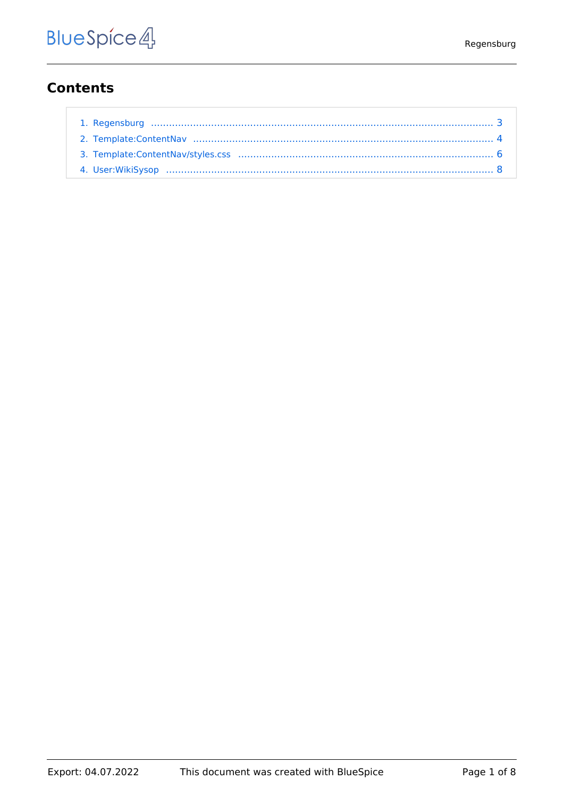## **Contents**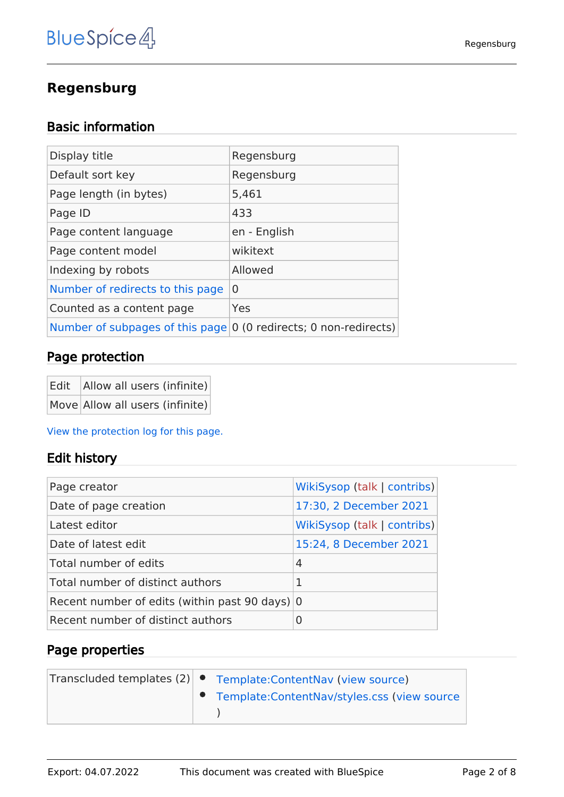## **Regensburg**

## Basic information

| Display title                                                                    | Regensburg   |
|----------------------------------------------------------------------------------|--------------|
| Default sort key                                                                 | Regensburg   |
| Page length (in bytes)                                                           | 5,461        |
| Page ID                                                                          | 433          |
| Page content language                                                            | en - English |
| Page content model                                                               | wikitext     |
| Indexing by robots                                                               | Allowed      |
| Number of redirects to this page                                                 | $\Omega$     |
| Counted as a content page                                                        | Yes          |
| Number of subpages of this page $\vert 0 \rangle$ (0 redirects; 0 non-redirects) |              |

## Page protection

| Edit   Allow all users (infinite) |
|-----------------------------------|
| Move Allow all users (infinite)   |

[View the protection log for this page.](https://en.demo.bluespice.com/w/index.php?title=Special:Log&type=protect&page=Regensburg)

#### Edit history

| Page creator                                   | WikiSysop (talk   contribs) |
|------------------------------------------------|-----------------------------|
| Date of page creation                          | 17:30, 2 December 2021      |
| Latest editor                                  | WikiSysop (talk   contribs) |
| Date of latest edit                            | 15:24, 8 December 2021      |
| Total number of edits                          | 4                           |
| Total number of distinct authors               | 1                           |
| Recent number of edits (within past 90 days) 0 |                             |
| Recent number of distinct authors              | 0                           |

|  | Transcluded templates $(2)$ $\bullet$ Template: Content Nav (view source) |
|--|---------------------------------------------------------------------------|
|  | ● Template: ContentNav/styles.css (view source                            |
|  |                                                                           |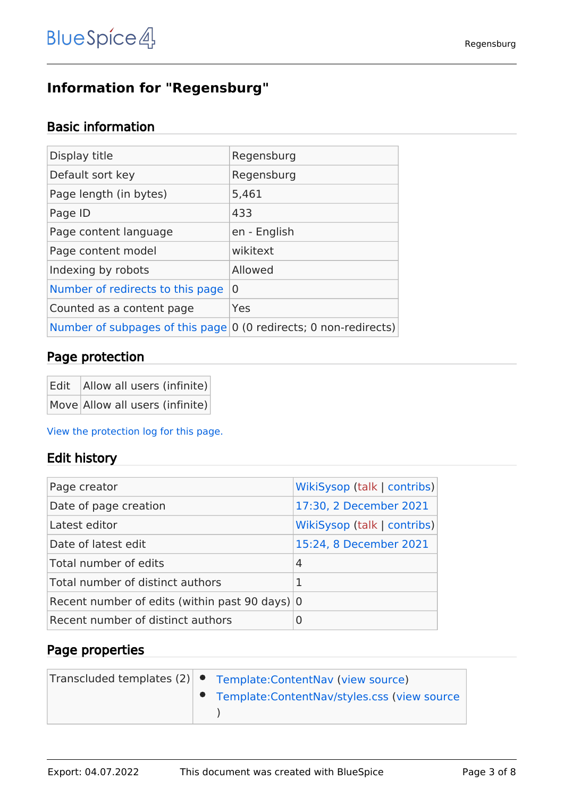## <span id="page-2-0"></span>**Information for "Regensburg"**

## Basic information

| Display title                                                               | Regensburg   |
|-----------------------------------------------------------------------------|--------------|
| Default sort key                                                            | Regensburg   |
| Page length (in bytes)                                                      | 5,461        |
| Page ID                                                                     | 433          |
| Page content language                                                       | en - English |
| Page content model                                                          | wikitext     |
| Indexing by robots                                                          | Allowed      |
| Number of redirects to this page                                            | $\Omega$     |
| Counted as a content page                                                   | Yes          |
| Number of subpages of this page $ 0 \rangle$ (0 redirects; 0 non-redirects) |              |

## Page protection

| Edit   Allow all users (infinite) |
|-----------------------------------|
| Move Allow all users (infinite)   |

[View the protection log for this page.](https://en.demo.bluespice.com/w/index.php?title=Special:Log&type=protect&page=Regensburg)

#### Edit history

| Page creator                                             | WikiSysop (talk   contribs) |
|----------------------------------------------------------|-----------------------------|
| Date of page creation                                    | 17:30, 2 December 2021      |
| Latest editor                                            | WikiSysop (talk   contribs) |
| Date of latest edit                                      | 15:24, 8 December 2021      |
| Total number of edits                                    | 4                           |
| Total number of distinct authors                         | 1                           |
| Recent number of edits (within past 90 days) $ 0\rangle$ |                             |
| Recent number of distinct authors                        | 0                           |

| Transcluded templates (2) • Template: ContentNav (view source) |
|----------------------------------------------------------------|
| ● Template: Content Nav/styles.css (view source                |
|                                                                |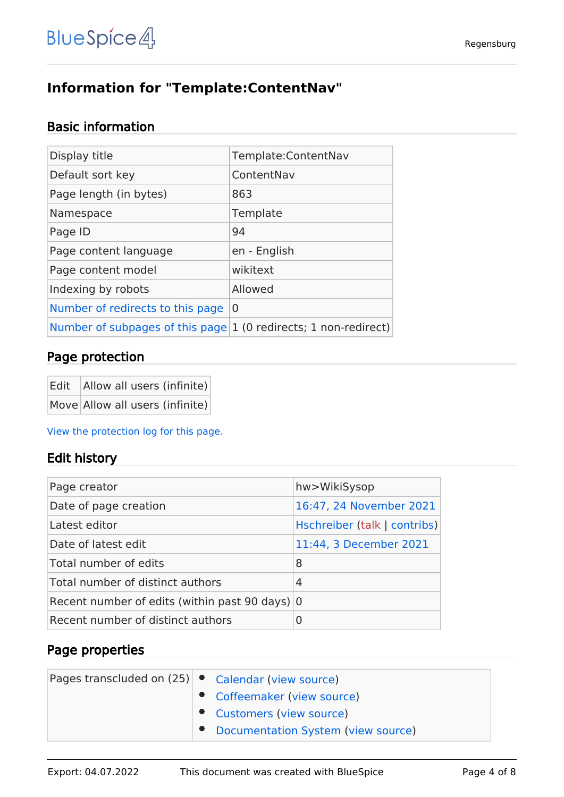# <span id="page-3-0"></span>**Information for "Template:ContentNav"**

## Basic information

| Display title                                                     | Template:ContentNav |
|-------------------------------------------------------------------|---------------------|
| Default sort key                                                  | ContentNav          |
| Page length (in bytes)                                            | 863                 |
| Namespace                                                         | Template            |
| Page ID                                                           | 94                  |
| Page content language                                             | en - English        |
| Page content model                                                | wikitext            |
| Indexing by robots                                                | Allowed             |
| Number of redirects to this page                                  | 0                   |
| Number of subpages of this page $1$ (0 redirects; 1 non-redirect) |                     |
|                                                                   |                     |

#### Page protection

| Edit   Allow all users (infinite) |
|-----------------------------------|
| Move Allow all users (infinite)   |

[View the protection log for this page.](https://en.demo.bluespice.com/w/index.php?title=Special:Log&type=protect&page=Template%3AContentNav)

#### Edit history

| Page creator                                   | hw>WikiSysop                 |
|------------------------------------------------|------------------------------|
| Date of page creation                          | 16:47, 24 November 2021      |
| Latest editor                                  | Hschreiber (talk   contribs) |
| Date of latest edit                            | 11:44, 3 December 2021       |
| Total number of edits                          | 8                            |
| Total number of distinct authors               | 4                            |
| Recent number of edits (within past 90 days) 0 |                              |
| Recent number of distinct authors              | 0                            |

| Pages transcluded on (25)   ● Calendar (view source) | • Coffeemaker (view source)        |  |
|------------------------------------------------------|------------------------------------|--|
|                                                      | Customers (view source)            |  |
|                                                      | Documentation System (view source) |  |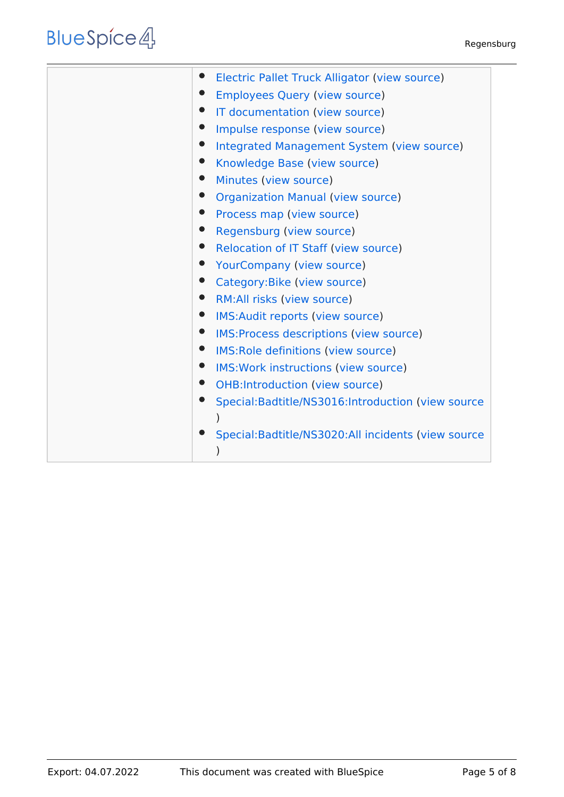# **BlueSpice4**

| Electric Pallet Truck Alligator (view source)        |
|------------------------------------------------------|
| <b>Employees Query (view source)</b>                 |
| IT documentation (view source)                       |
| Impulse response (view source)                       |
| Integrated Management System (view source)           |
| Knowledge Base (view source)                         |
| Minutes (view source)                                |
| <b>Organization Manual (view source)</b>             |
| Process map (view source)                            |
| Regensburg (view source)                             |
| Relocation of IT Staff (view source)                 |
| <b>YourCompany (view source)</b>                     |
| Category: Bike (view source)                         |
| $\bullet$<br>RM:All risks (view source)              |
| IMS: Audit reports (view source)                     |
| IMS: Process descriptions (view source)              |
| IMS: Role definitions (view source)<br>$\bullet$     |
| IMS: Work instructions (view source)                 |
| <b>OHB:Introduction (view source)</b>                |
| Special:Badtitle/NS3016:Introduction (view source    |
|                                                      |
| Special: Badtitle/NS3020: All incidents (view source |
|                                                      |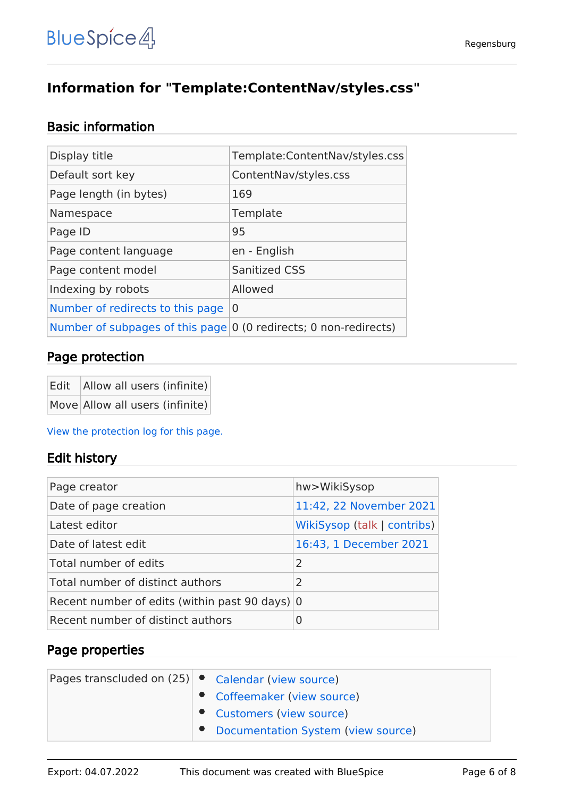# <span id="page-5-0"></span>**Information for "Template:ContentNav/styles.css"**

## Basic information

| Display title                                                               | Template:ContentNav/styles.css |
|-----------------------------------------------------------------------------|--------------------------------|
| Default sort key                                                            | ContentNav/styles.css          |
| Page length (in bytes)                                                      | 169                            |
| Namespace                                                                   | Template                       |
| Page ID                                                                     | 95                             |
| Page content language                                                       | en - English                   |
| Page content model                                                          | <b>Sanitized CSS</b>           |
| Indexing by robots                                                          | Allowed                        |
| Number of redirects to this page                                            | 0                              |
| Number of subpages of this page $ 0 \rangle$ (0 redirects; 0 non-redirects) |                                |

## Page protection

| Edit   Allow all users (infinite) |
|-----------------------------------|
| Move Allow all users (infinite)   |

[View the protection log for this page.](https://en.demo.bluespice.com/w/index.php?title=Special:Log&type=protect&page=Template%3AContentNav%2Fstyles.css)

#### Edit history

| Page creator                                   | hw>WikiSysop                |
|------------------------------------------------|-----------------------------|
| Date of page creation                          | 11:42, 22 November 2021     |
| Latest editor                                  | WikiSysop (talk   contribs) |
| Date of latest edit                            | 16:43, 1 December 2021      |
| Total number of edits                          | 2                           |
| Total number of distinct authors               | $\mathcal{L}$               |
| Recent number of edits (within past 90 days) 0 |                             |
| Recent number of distinct authors              | $\Omega$                    |

| Pages transcluded on $(25)$ $\bullet$ Calendar (view source)<br>• Coffeemaker (view source) |
|---------------------------------------------------------------------------------------------|
| Customers (view source)                                                                     |
| Documentation System (view source)                                                          |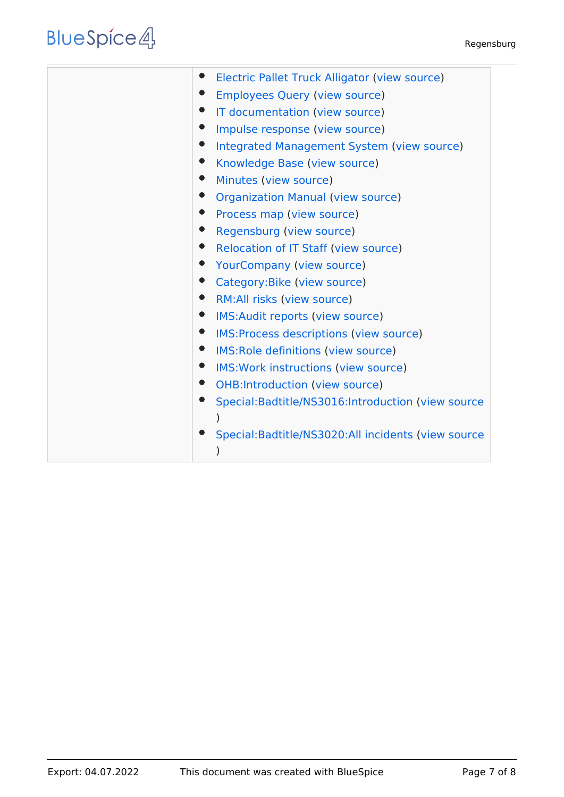# **BlueSpice4**

| Electric Pallet Truck Alligator (view source)        |
|------------------------------------------------------|
| <b>Employees Query (view source)</b>                 |
| IT documentation (view source)                       |
| Impulse response (view source)                       |
| Integrated Management System (view source)           |
| Knowledge Base (view source)                         |
| Minutes (view source)                                |
| <b>Organization Manual (view source)</b>             |
| Process map (view source)                            |
| Regensburg (view source)                             |
| Relocation of IT Staff (view source)                 |
| <b>YourCompany (view source)</b>                     |
| Category: Bike (view source)                         |
| $\bullet$<br>RM: All risks (view source)             |
|                                                      |
| IMS: Audit reports (view source)                     |
| IMS: Process descriptions (view source)              |
| IMS: Role definitions (view source)                  |
| IMS: Work instructions (view source)                 |
| <b>OHB:Introduction (view source)</b>                |
| Special:Badtitle/NS3016:Introduction (view source    |
|                                                      |
| Special: Badtitle/NS3020: All incidents (view source |
|                                                      |